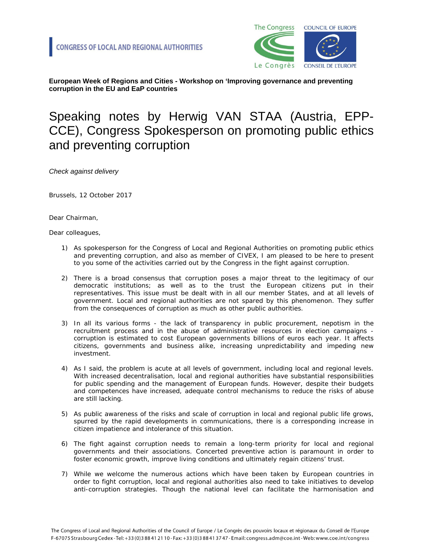

**European Week of Regions and Cities - Workshop on 'Improving governance and preventing corruption in the EU and EaP countries**

## Speaking notes by Herwig VAN STAA (Austria, EPP-CCE), Congress Spokesperson on promoting public ethics and preventing corruption

*Check against delivery*

Brussels, 12 October 2017

Dear Chairman,

Dear colleagues,

- 1) As spokesperson for the Congress of Local and Regional Authorities on promoting public ethics and preventing corruption, and also as member of CIVEX, I am pleased to be here to present to you some of the activities carried out by the Congress in the fight against corruption.
- 2) There is a broad consensus that corruption poses a major threat to the legitimacy of our democratic institutions; as well as to the trust the European citizens put in their representatives. This issue must be dealt with in all our member States, and at all levels of government. Local and regional authorities are not spared by this phenomenon. They suffer from the consequences of corruption as much as other public authorities.
- 3) In all its various forms the lack of transparency in public procurement, nepotism in the recruitment process and in the abuse of administrative resources in election campaigns corruption is estimated to cost European governments billions of euros each year. It affects citizens, governments and business alike, increasing unpredictability and impeding new investment.
- 4) As I said, the problem is acute at all levels of government, including local and regional levels. With increased decentralisation, local and regional authorities have substantial responsibilities for public spending and the management of European funds. However, despite their budgets and competences have increased, adequate control mechanisms to reduce the risks of abuse are still lacking.
- 5) As public awareness of the risks and scale of corruption in local and regional public life grows, spurred by the rapid developments in communications, there is a corresponding increase in citizen impatience and intolerance of this situation.
- 6) The fight against corruption needs to remain a long-term priority for local and regional governments and their associations. Concerted preventive action is paramount in order to foster economic growth, improve living conditions and ultimately regain citizens' trust.
- 7) While we welcome the numerous actions which have been taken by European countries in order to fight corruption, local and regional authorities also need to take initiatives to develop anti-corruption strategies. Though the national level can facilitate the harmonisation and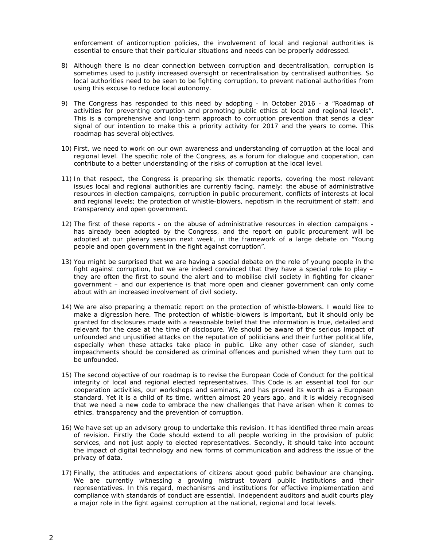enforcement of anticorruption policies, the involvement of local and regional authorities is essential to ensure that their particular situations and needs can be properly addressed.

- 8) Although there is no clear connection between corruption and decentralisation, corruption is sometimes used to justify increased oversight or recentralisation by centralised authorities. So local authorities need to be seen to be fighting corruption, to prevent national authorities from using this excuse to reduce local autonomy.
- 9) The Congress has responded to this need by adopting in October 2016 a "Roadmap of activities for preventing corruption and promoting public ethics at local and regional levels". This is a comprehensive and long-term approach to corruption prevention that sends a clear signal of our intention to make this a priority activity for 2017 and the years to come. This roadmap has several objectives.
- 10) First, we need to work on our own awareness and understanding of corruption at the local and regional level. The specific role of the Congress, as a forum for dialogue and cooperation, can contribute to a better understanding of the risks of corruption at the local level.
- 11) In that respect, the Congress is preparing six thematic reports, covering the most relevant issues local and regional authorities are currently facing, namely: the abuse of administrative resources in election campaigns, corruption in public procurement, conflicts of interests at local and regional levels; the protection of whistle-blowers, nepotism in the recruitment of staff; and transparency and open government.
- 12) The first of these reports on the abuse of administrative resources in election campaigns has already been adopted by the Congress, and the report on public procurement will be adopted at our plenary session next week, in the framework of a large debate on "Young people and open government in the fight against corruption".
- 13) You might be surprised that we are having a special debate on the role of young people in the fight against corruption, but we are indeed convinced that they have a special role to play – they are often the first to sound the alert and to mobilise civil society in fighting for cleaner government – and our experience is that more open and cleaner government can only come about with an increased involvement of civil society.
- 14) We are also preparing a thematic report on the protection of whistle-blowers. I would like to make a digression here. The protection of whistle-blowers is important, but it should only be granted for disclosures made with a reasonable belief that the information is true, detailed and relevant for the case at the time of disclosure. We should be aware of the serious impact of unfounded and unjustified attacks on the reputation of politicians and their further political life, especially when these attacks take place in public. Like any other case of slander, such impeachments should be considered as criminal offences and punished when they turn out to be unfounded.
- 15) The second objective of our roadmap is to revise the European Code of Conduct for the political integrity of local and regional elected representatives. This Code is an essential tool for our cooperation activities, our workshops and seminars, and has proved its worth as a European standard. Yet it is a child of its time, written almost 20 years ago, and it is widely recognised that we need a new code to embrace the new challenges that have arisen when it comes to ethics, transparency and the prevention of corruption.
- 16) We have set up an advisory group to undertake this revision. It has identified three main areas of revision. Firstly the Code should extend to all people working in the provision of public services, and not just apply to elected representatives. Secondly, it should take into account the impact of digital technology and new forms of communication and address the issue of the privacy of data.
- 17) Finally, the attitudes and expectations of citizens about good public behaviour are changing. We are currently witnessing a growing mistrust toward public institutions and their representatives. In this regard, mechanisms and institutions for effective implementation and compliance with standards of conduct are essential. Independent auditors and audit courts play a major role in the fight against corruption at the national, regional and local levels.